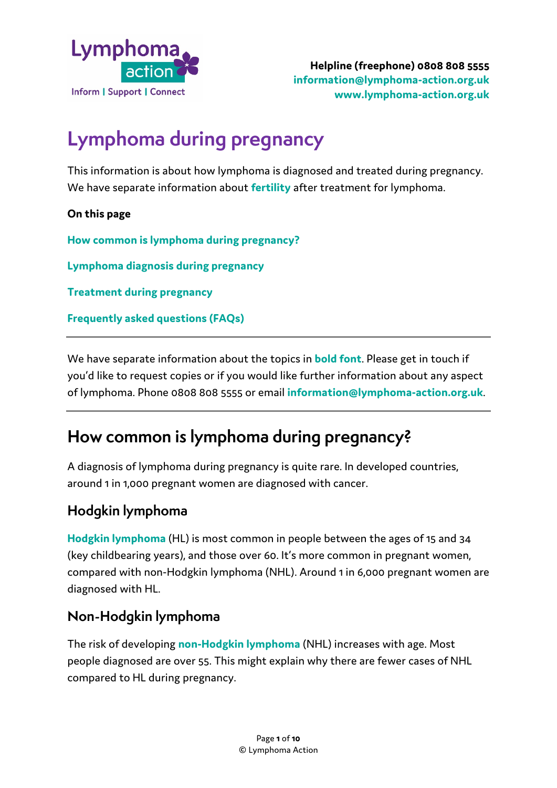

# **Lymphoma during pregnancy**

This information is about how lymphoma is diagnosed and treated during pregnancy. We have separate information about **fertility** after treatment for lymphoma.

**On this page**

**How common is lymphoma during pregnancy?**

**Lymphoma diagnosis during pregnancy**

**Treatment during pregnancy**

**Frequently asked questions (FAQs)**

We have separate information about the topics in **bold font**. Please get in touch if you'd like to request copies or if you would like further information about any aspect of lymphoma. Phone 0808 808 5555 or email **[information@lymphoma-action.org.uk](mailto:information@lymphoma-action.org.uk)**.

## **How common is lymphoma during pregnancy?**

A diagnosis of lymphoma during pregnancy is quite rare. In developed countries, around 1 in 1,000 pregnant women are diagnosed with cancer.

#### **Hodgkin lymphoma**

**[Hodgkin lymphoma](https://lymphoma-action.org.uk/types-lymphoma/hodgkin-lymphoma)** (HL) is most common in people between the ages of 15 and 34 (key childbearing years), and those over 60. It's more common in pregnant women, compared with [non-Hodgkin lymphoma](https://lymphoma-action.org.uk/types-lymphoma/non-hodgkin-lymphoma) (NHL). Around 1 in 6,000 pregnant women are diagnosed with HL.

#### **Non-Hodgkin lymphoma**

The risk of developing **non-Hodgkin lymphoma** (NHL) increases with age. Most people diagnosed are over 55. This might explain why there are fewer cases of NHL compared to HL during pregnancy.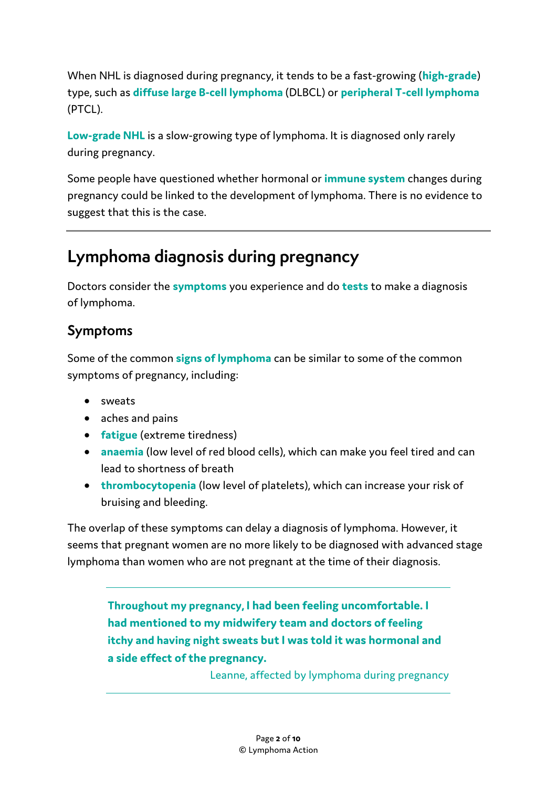When NHL is diagnosed during pregnancy, it tends to be a fast-growing (**[high-grade](https://lymphoma-action.org.uk/types-lymphoma/non-hodgkin-lymphoma#high-grade-NHL)**) type, such as **[diffuse large B-cell](https://lymphoma-action.org.uk/types-lymphoma-non-hodgkin-lymphoma/diffuse-large-b-cell-lymphoma) lymphoma** (DLBCL) or **[peripheral T-cell lymphoma](https://lymphoma-action.org.uk/types-lymphoma-non-hodgkin-lymphoma-t-cell-lymphomas/peripheral-t-cell-lymphoma-not-otherwise)** (PTCL).

**[Low-grade NHL](https://lymphoma-action.org.uk/types-lymphoma/non-hodgkin-lymphoma#low-grade-NHL)** is a slow-growing type of lymphoma. It is diagnosed only rarely during pregnancy.

Some people have questioned whether hormonal or **immune system** changes during pregnancy could be linked to the development of lymphoma. There is no evidence to suggest that this is the case.

# **Lymphoma diagnosis during pregnancy**

Doctors consider the **symptoms** you experience and do **tests** to make a diagnosis of lymphoma.

## **Symptoms**

Some of the common **signs of lymphoma** can be similar to some of the common symptoms of pregnancy, including:

- sweats
- aches and pains
- **fatigue** (extreme tiredness)
- **anaemia** (low level of red blood cells), which can make you feel tired and can lead to shortness of breath
- **thrombocytopenia** (low level of platelets), which can increase your risk of bruising and bleeding.

The overlap of these symptoms can delay a diagnosis of lymphoma. However, it seems that pregnant women are no more likely to be diagnosed with advanced stage lymphoma than women who are not pregnant at the time of their diagnosis.

**Throughout my pregnancy, I had been feeling uncomfortable. I had mentioned to my midwifery team and doctors o[f feeling](https://lymphoma-action.org.uk/about-lymphoma-what-lymphoma/symptoms-lymphoma)  [itchy and having night sweats](https://lymphoma-action.org.uk/about-lymphoma-what-lymphoma/symptoms-lymphoma) but I was told it was hormonal and a side effect of the pregnancy.**

Leanne, affected by lymphoma during pregnancy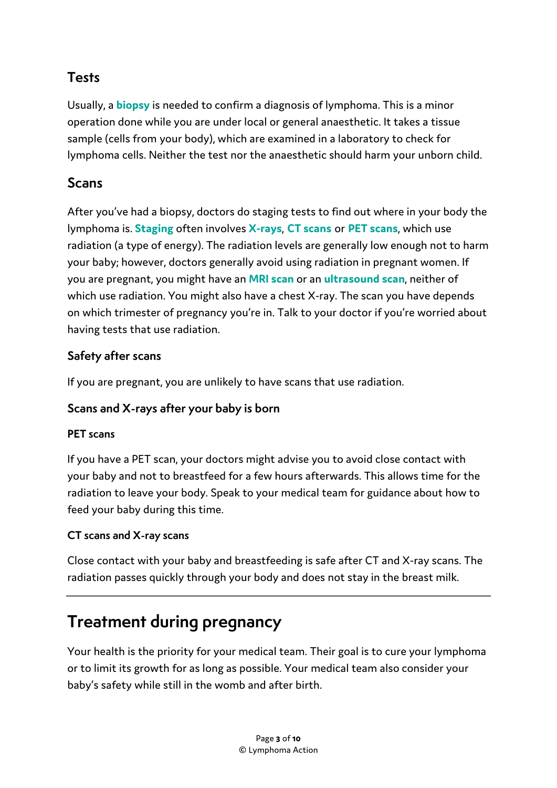#### **Tests**

Usually, a **biopsy** is needed to confirm a diagnosis of lymphoma. This is a minor operation done while you are under local or general anaesthetic. It takes a tissue sample (cells from your body), which are examined in a laboratory to check for lymphoma cells. Neither the test nor the anaesthetic should harm your unborn child.

#### **Scans**

After you've had a biopsy, doctors do staging tests to find out where in your body the lymphoma is. **Staging** often involves **X-rays**, **CT scans** or **[PET scans](https://lymphoma-action.org.uk/about-lymphoma-tests-diagnosis-and-staging/scans-x-ray-ct-pet-and-mri)**, which use radiation (a type of energy). The radiation levels are generally low enough not to harm your baby; however, doctors generally avoid using radiation in pregnant women. If you are pregnant, you might have an **[MRI scan](https://lymphoma-action.org.uk/about-lymphoma-tests-diagnosis-and-staging/scans-x-ray-ct-pet-and-mri#whatisanmri)** or an **[ultrasound scan](https://lymphoma-action.org.uk/about-lymphoma-tests-diagnosis-and-staging/ultrasound-scan)**, neither of which use radiation. You might also have a chest X-ray. The scan you have depends on which trimester of pregnancy you're in. Talk to your doctor if you're worried about having tests that use radiation.

#### **Safety after scans**

If you are pregnant, you are unlikely to have scans that use radiation.

#### **Scans and X-rays after your baby is born**

#### **PET scans**

If you have a PET scan, your doctors might advise you to avoid close contact with your baby and not to breastfeed for a few hours afterwards. This allows time for the radiation to leave your body. Speak to your medical team for guidance about how to feed your baby during this time.

#### **CT scans and X-ray scans**

Close contact with your baby and breastfeeding is safe after CT and X-ray scans. The radiation passes quickly through your body and does not stay in the breast milk.

# **Treatment during pregnancy**

Your health is the priority for your medical team. Their goal is to cure your lymphoma or to limit its growth for as long as possible. Your medical team also consider your baby's safety while still in the womb and after birth.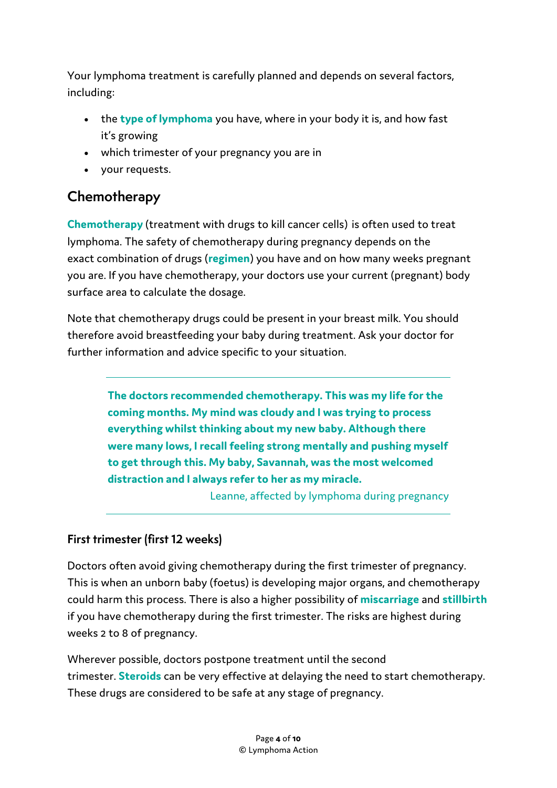Your lymphoma treatment is carefully planned and depends on several factors, including:

- the **[type of lymphoma](https://lymphoma-action.org.uk/types-lymphoma)** you have, where in your body it is, and how fast it's growing
- which trimester of your pregnancy you are in
- your requests.

#### **Chemotherapy**

**[Chemotherapy](https://lymphoma-action.org.uk/about-lymphoma-treatment-lymphoma/chemotherapy)** (treatment with drugs to kill cancer cells) is often used to treat lymphoma. The safety of chemotherapy during pregnancy depends on the exact combination of drugs (**[regimen](https://lymphoma-action.org.uk/about-lymphoma-treatment-lymphoma-chemotherapy/chemotherapy-regimens)**) you have and on how many weeks pregnant you are. If you have chemotherapy, your doctors use your current (pregnant) body surface area to calculate the dosage.

Note that chemotherapy drugs could be present in your breast milk. You should therefore avoid breastfeeding your baby during treatment. Ask your doctor for further information and advice specific to your situation.

> **The doctors recommended chemotherapy. This was my life for the coming months. My mind was cloudy and I was trying to process everything whilst thinking about my new baby. Although there were many lows, I recall feeling strong mentally and pushing myself to get through this. My baby, Savannah, was the most welcomed distraction and I always refer to her as my miracle.**

Leanne, affected by lymphoma during pregnancy

#### **First trimester (first 12 weeks)**

Doctors often avoid giving chemotherapy during the first trimester of pregnancy. This is when an unborn baby (foetus) is developing major organs, and chemotherapy could harm this process. There is also a higher possibility of **miscarriage** and **stillbirth** if you have chemotherapy during the first trimester. The risks are highest during weeks 2 to 8 of pregnancy.

Wherever possible, doctors postpone treatment until the second trimester. **[Steroids](https://lymphoma-action.org.uk/about-lymphoma-treatment-lymphoma/steroids)** can be very effective at delaying the need to start chemotherapy. These drugs are considered to be safe at any stage of pregnancy.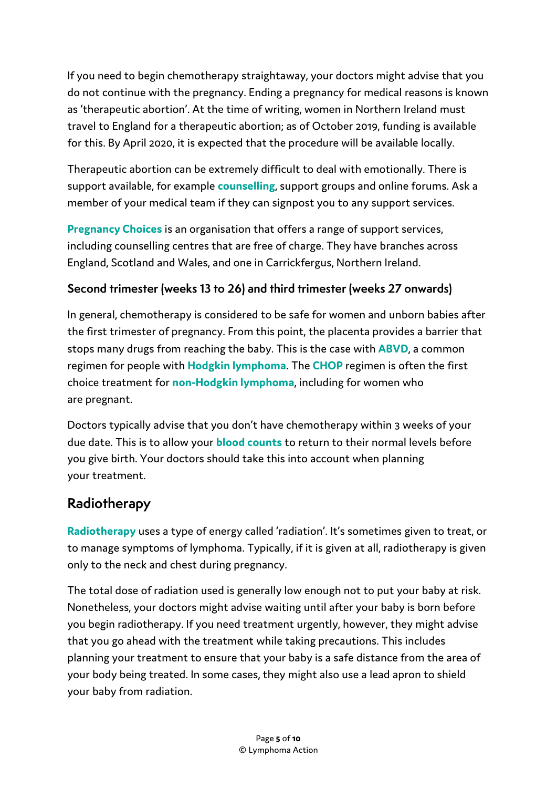If you need to begin chemotherapy straightaway, your doctors might advise that you do not continue with the pregnancy. Ending a pregnancy for medical reasons is known as 'therapeutic abortion'. At the time of writing, women in Northern Ireland must travel to England for a therapeutic abortion; as of October 2019, funding is available for this. By April 2020, it is expected that the procedure will be available locally.

Therapeutic abortion can be extremely difficult to deal with emotionally. There is support available, for example **counselling**, support groups and online forums. Ask a member of your medical team if they can signpost you to any support services.

**[Pregnancy Choices](https://www.pregnancychoicesdirectory.com/)** is an organisation that offers a range of support services, including counselling centres that are free of charge. They have branches across England, Scotland and Wales, and one in Carrickfergus, Northern Ireland.

#### **Second trimester (weeks 13 to 26) and third trimester (weeks 27 onwards)**

In general, chemotherapy is considered to be safe for women and unborn babies after the first trimester of pregnancy. From this point, the placenta provides a barrier that stops many drugs from reaching the baby. This is the case with **[ABVD](https://lymphoma-action.org.uk/about-lymphoma-treatment-lymphoma-chemotherapy/chemotherapy-regimens#abvd)**, a common regimen for people with **[Hodgkin lymphoma](https://lymphoma-action.org.uk/types-lymphoma/hodgkin-lymphoma)**. The **CHOP** regimen is often the first choice treatment for **non-Hodgkin lymphoma**, including for women who are pregnant.

Doctors typically advise that you don't have chemotherapy within 3 weeks of your due date. This is to allow your **[blood counts](https://lymphoma-action.org.uk/about-lymphoma-tests-diagnosis-and-staging/blood-tests#whatbloodtestsareused)** to return to their normal levels before you give birth. Your doctors should take this into account when planning your treatment.

#### **Radiotherapy**

**Radiotherapy** uses a type of energy called 'radiation'. It's sometimes given to treat, or to manage symptoms of lymphoma. Typically, if it is given at all, radiotherapy is given only to the neck and chest during pregnancy.

The total dose of radiation used is generally low enough not to put your baby at risk. Nonetheless, your doctors might advise waiting until after your baby is born before you begin radiotherapy. If you need treatment urgently, however, they might advise that you go ahead with the treatment while taking precautions. This includes planning your treatment to ensure that your baby is a safe distance from the area of your body being treated. In some cases, they might also use a lead apron to shield your baby from radiation.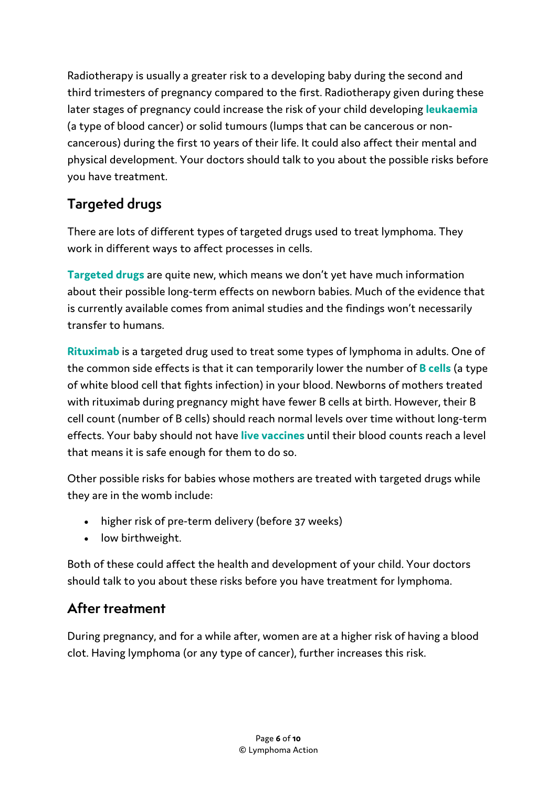Radiotherapy is usually a greater risk to a developing baby during the second and third trimesters of pregnancy compared to the first. Radiotherapy given during these later stages of pregnancy could increase the risk of your child developing **leukaemia** (a type of blood cancer) or solid tumours (lumps that can be cancerous or noncancerous) during the first 10 years of their life. It could also affect their mental and physical development. Your doctors should talk to you about the possible risks before you have treatment.

## **Targeted drugs**

There are lots of different types of targeted drugs used to treat lymphoma. They work in different ways to affect processes in cells.

**Targeted drugs** are quite new, which means we don't yet have much information about their possible long-term effects on newborn babies. Much of the evidence that is currently available comes from animal studies and the findings won't necessarily transfer to humans.

**Rituximab** is a targeted drug used to treat some types of lymphoma in adults. One of the common side effects is that it can temporarily lower the number of **B cells** (a type of white blood cell that fights infection) in your blood. Newborns of mothers treated with rituximab during pregnancy might have fewer B cells at birth. However, their B cell count (number of B cells) should reach normal levels over time without long-term effects. Your baby should not have **live vaccines** until their blood counts reach a level that means it is safe enough for them to do so.

Other possible risks for babies whose mothers are treated with targeted drugs while they are in the womb include:

- higher risk of pre-term delivery (before 37 weeks)
- low birthweight.

Both of these could affect the health and development of your child. Your doctors should talk to you about these risks before you have treatment for lymphoma.

## **After treatment**

During pregnancy, and for a while after, women are at a higher risk of having a blood clot. Having lymphoma (or any type of cancer), further increases this risk.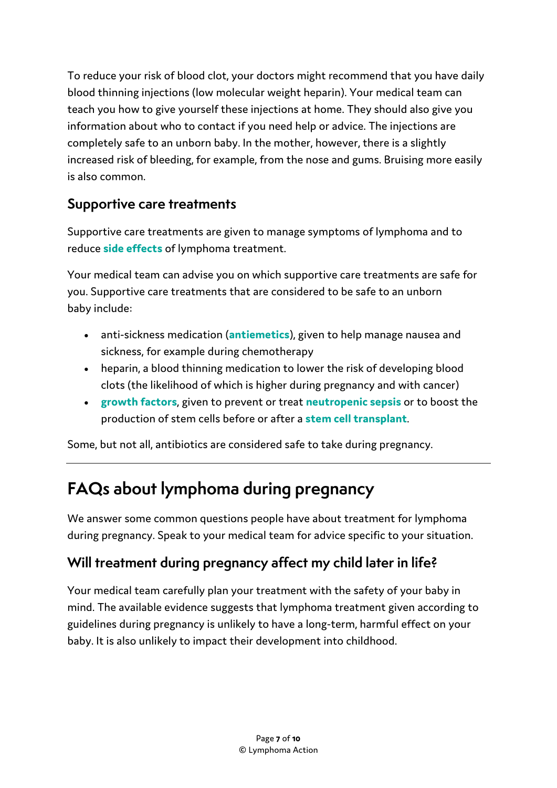To reduce your risk of blood clot, your doctors might recommend that you have daily blood thinning injections (low molecular weight heparin). Your medical team can teach you how to give yourself these injections at home. They should also give you information about who to contact if you need help or advice. The injections are completely safe to an unborn baby. In the mother, however, there is a slightly increased risk of bleeding, for example, from the nose and gums. Bruising more easily is also common.

## **Supportive care treatments**

Supportive care treatments are given to manage symptoms of lymphoma and to reduce **side effects** of lymphoma treatment.

Your medical team can advise you on which supportive care treatments are safe for you. Supportive care treatments that are considered to be safe to an unborn baby include:

- anti-sickness medication (**antiemetics**), given to help manage nausea and sickness, for example during chemotherapy
- heparin, a blood thinning medication to lower the risk of developing blood clots (the likelihood of which is higher during pregnancy and with cancer)
- **growth factors**, given to prevent or treat **neutropenic sepsis** or to boost the production of stem cells before or after a **stem cell transplant**.

Some, but not all, antibiotics are considered safe to take during pregnancy.

# **FAQs about lymphoma during pregnancy**

We answer some common questions people have about treatment for lymphoma during pregnancy. Speak to your medical team for advice specific to your situation.

## **Will treatment during pregnancy affect my child later in life?**

Your medical team carefully plan your treatment with the safety of your baby in mind. The available evidence suggests that lymphoma treatment given according to guidelines during pregnancy is unlikely to have a long-term, harmful effect on your baby. It is also unlikely to impact their development into childhood.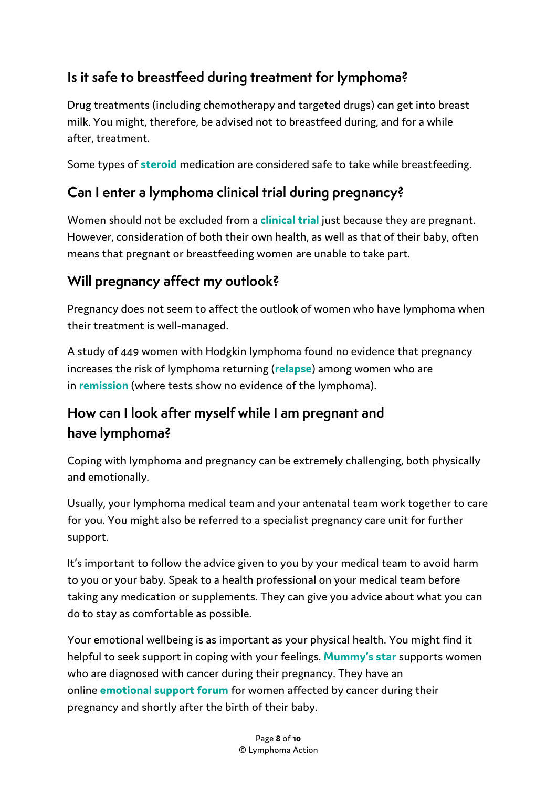## **Is it safe to breastfeed during treatment for lymphoma?**

Drug treatments (including chemotherapy and targeted drugs) can get into breast milk. You might, therefore, be advised not to breastfeed during, and for a while after, treatment.

Some types of **steroid** medication are considered safe to take while breastfeeding.

## **Can I enter a lymphoma clinical trial during pregnancy?**

Women should not be excluded from a **clinical trial** just because they are pregnant. However, consideration of both their own health, as well as that of their baby, often means that pregnant or breastfeeding women are unable to take part.

## **Will pregnancy affect my outlook?**

Pregnancy does not seem to affect the outlook of women who have lymphoma when their treatment is well-managed.

A study of 449 women with Hodgkin lymphoma found no evidence that pregnancy increases the risk of lymphoma returning (**relapse**) among women who are in **[remission](https://lymphoma-action.org.uk/about-lymphoma-treatment-lymphoma/aims-treatment)** (where tests show no evidence of the lymphoma).

## **How can I look after myself while I am pregnant and have lymphoma?**

Coping with lymphoma and pregnancy can be extremely challenging, both physically and [emotionally.](https://lymphoma-action.org.uk/about-lymphoma-living-lymphoma/emotional-impact-living-lymphoma)

Usually, your lymphoma medical team and your antenatal team work together to care for you. You might also be referred to a specialist pregnancy care unit for further support.

It's important to follow the advice given to you by your medical team to avoid harm to you or your baby. Speak to a health professional on your medical team before taking any medication or supplements. They can give you advice about what you can do to stay as comfortable as possible.

Your emotional wellbeing is as important as your physical health. You might find it helpful to seek support in coping with your feelings. **[Mummy's star](http://www.mummysstar.org/for-me/)** supports women who are diagnosed with cancer during their pregnancy. They have an online **[emotional support forum](http://www.mummysstar.org/for-me/emotional-supportforum/)** for women affected by cancer during their pregnancy and shortly after the birth of their baby.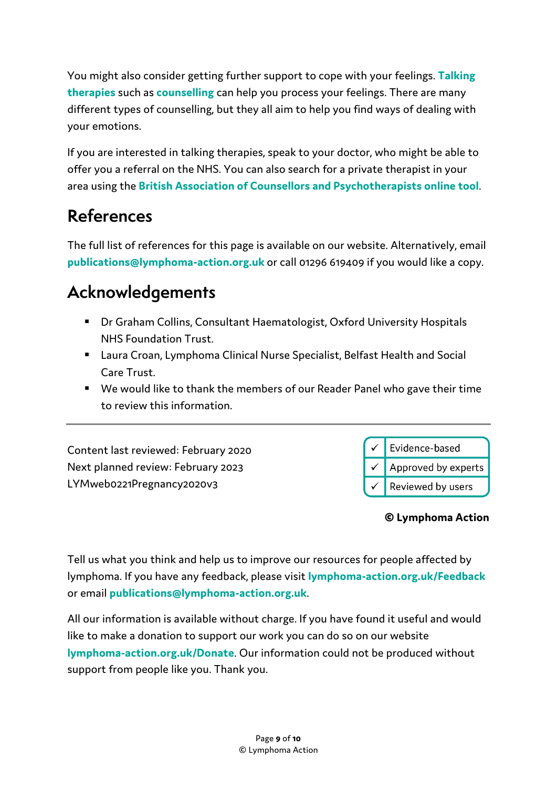You might also consider getting further support to cope with your feelings. **Talking therapies** such as **[counselling](https://lymphoma-action.org.uk/about-lymphoma-living-lymphoma/emotional-impact-living-lymphoma#counselling)** can help you process your feelings. There are many different types of counselling, but they all aim to help you find ways of dealing with your emotions.

If you are interested in talking therapies, speak to your doctor, who might be able to offer you a referral on the NHS. You can also search for a private therapist in your area using the **[British Association of Counsellors and Psychotherapists online tool](https://www.bacp.co.uk/search/Therapists)**.

# **References**

The full list of references for this page is available on our website. Alternatively, email **publications@lymphoma-action.org.uk** or call 01296 619409 if you would like a copy.

# **Acknowledgements**

- Dr Graham Collins, Consultant Haematologist, Oxford University Hospitals NHS Foundation Trust.
- Laura Croan, Lymphoma Clinical Nurse Specialist, Belfast Health and Social Care Trust.
- We would like to thank the members of our Reader Panel who gave their time to review this information.

Content last reviewed: February 2020 Next planned review: February 2023 LYMweb0221Pregnancy2020v3



#### **© Lymphoma Action**

Tell us what you think and help us to improve our resources for people affected by lymphoma. If you have any feedback, please visit **lymphoma-action.org.uk/Feedback**  or email **publications@lymphoma-action.org.uk**.

All our information is available without charge. If you have found it useful and would like to make a donation to support our work you can do so on our website **lymphoma-action.org.uk/Donate**. Our information could not be produced without support from people like you. Thank you.